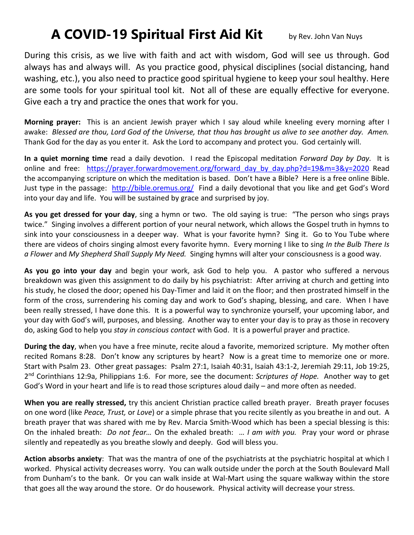## **A COVID-19 Spiritual First Aid Kit** by Rev. John Van Nuys

During this crisis, as we live with faith and act with wisdom, God will see us through. God always has and always will. As you practice good, physical disciplines (social distancing, hand washing, etc.), you also need to practice good spiritual hygiene to keep your soul healthy. Here are some tools for your spiritual tool kit. Not all of these are equally effective for everyone. Give each a try and practice the ones that work for you.

**Morning prayer:** This is an ancient Jewish prayer which I say aloud while kneeling every morning after I awake: *Blessed are thou, Lord God of the Universe, that thou has brought us alive to see another day. Amen.* Thank God for the day as you enter it. Ask the Lord to accompany and protect you. God certainly will.

**In a quiet morning time** read a daily devotion. I read the Episcopal meditation *Forward Day by Day.* It is online and free: https://prayer.forwardmovement.org/forward day by day.php?d=19&m=3&y=2020 Read the accompanying scripture on which the meditation is based. Don't have a Bible? Here is a free online Bible. Just type in the passage: <http://bible.oremus.org/> Find a daily devotional that you like and get God's Word into your day and life. You will be sustained by grace and surprised by joy.

**As you get dressed for your day**, sing a hymn or two. The old saying is true: "The person who sings prays twice." Singing involves a different portion of your neural network, which allows the Gospel truth in hymns to sink into your consciousness in a deeper way. What is your favorite hymn? Sing it. Go to You Tube where there are videos of choirs singing almost every favorite hymn. Every morning I like to sing *In the Bulb There Is a Flower* and *My Shepherd Shall Supply My Need.* Singing hymns will alter your consciousness is a good way.

**As you go into your day** and begin your work, ask God to help you. A pastor who suffered a nervous breakdown was given this assignment to do daily by his psychiatrist: After arriving at church and getting into his study, he closed the door; opened his Day-Timer and laid it on the floor; and then prostrated himself in the form of the cross, surrendering his coming day and work to God's shaping, blessing, and care. When I have been really stressed, I have done this. It is a powerful way to synchronize yourself, your upcoming labor, and your day with God's will, purposes, and blessing. Another way to enter your day is to pray as those in recovery do, asking God to help you *stay in conscious contact* with God. It is a powerful prayer and practice.

**During the day**, when you have a free minute, recite aloud a favorite, memorized scripture. My mother often recited Romans 8:28. Don't know any scriptures by heart? Now is a great time to memorize one or more. Start with Psalm 23. Other great passages: Psalm 27:1, Isaiah 40:31, Isaiah 43:1-2, Jeremiah 29:11, Job 19:25, 2 nd Corinthians 12:9a, Philippians 1:6. For more, see the document: *Scriptures of Hope.* Another way to get God's Word in your heart and life is to read those scriptures aloud daily – and more often as needed.

**When you are really stressed,** try this ancient Christian practice called breath prayer. Breath prayer focuses on one word (like *Peace, Trust,* or *Love*) or a simple phrase that you recite silently as you breathe in and out. A breath prayer that was shared with me by Rev. Marcia Smith-Wood which has been a special blessing is this: On the inhaled breath: *Do not fear…* On the exhaled breath: … *I am with you.* Pray your word or phrase silently and repeatedly as you breathe slowly and deeply. God will bless you.

**Action absorbs anxiety**: That was the mantra of one of the psychiatrists at the psychiatric hospital at which I worked. Physical activity decreases worry. You can walk outside under the porch at the South Boulevard Mall from Dunham's to the bank. Or you can walk inside at Wal-Mart using the square walkway within the store that goes all the way around the store. Or do housework. Physical activity will decrease your stress.